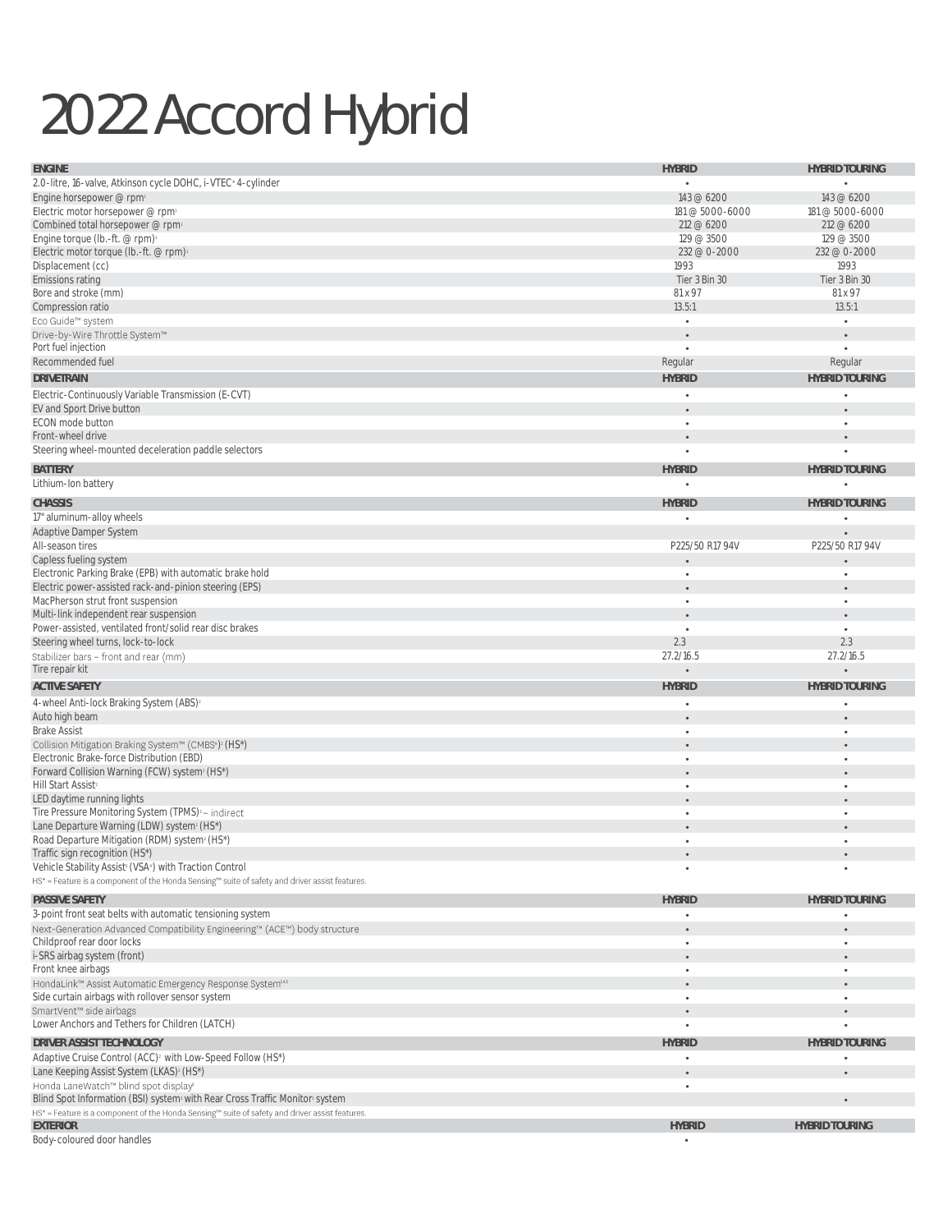## 2022 Accord Hybrid

| <b>ENGINE</b>                                                                                                                                                                | <b>HYBRID</b>   | <b>HYBRID TOURING</b> |
|------------------------------------------------------------------------------------------------------------------------------------------------------------------------------|-----------------|-----------------------|
| 2.0-litre, 16-valve, Atkinson cycle DOHC, i-VTEC® 4-cylinder                                                                                                                 |                 |                       |
| Engine horsepower @ rpm                                                                                                                                                      | 143 @ 6200      | 143 @ 6200            |
| Electric motor horsepower @ rpm                                                                                                                                              | 181 @ 5000-6000 | 181 @ 5000-6000       |
| Combined total horsepower @ rpm                                                                                                                                              | 212 @ 6200      | 212 @ 6200            |
| Engine torque (lb.-ft. @ rpm)                                                                                                                                                | 129 @ 3500      | 129 @ 3500            |
| Electric motor torque (lb.-ft. @ rpm)                                                                                                                                        | 232 @ 0-2000    | 232 @ 0-2000          |
| Displacement (cc)                                                                                                                                                            | 1993            | 1993                  |
| Emissions rating                                                                                                                                                             | Tier 3 Bin 30   | Tier 3 Bin 30         |
| Bore and stroke (mm)                                                                                                                                                         | 81 x 97         | 81 x 97               |
| Compression ratio                                                                                                                                                            | 13.5:1          | 13.5:1                |
| Eco Guide™ system                                                                                                                                                            |                 | $\bullet$             |
| Drive-by-Wire Throttle System™                                                                                                                                               |                 | $\bullet$             |
| Port fuel injection                                                                                                                                                          | $\bullet$       | $\bullet$             |
| Recommended fuel                                                                                                                                                             | Regular         | Regular               |
| <b>DRIVETRAIN</b>                                                                                                                                                            | <b>HYBRID</b>   | <b>HYBRID TOURING</b> |
| Electric-Continuously Variable Transmission (E-CVT)                                                                                                                          |                 |                       |
| EV and Sport Drive button                                                                                                                                                    |                 |                       |
| ECON mode button                                                                                                                                                             |                 | $\bullet$             |
| Front-wheel drive                                                                                                                                                            |                 | ٠                     |
| Steering wheel-mounted deceleration paddle selectors                                                                                                                         |                 | ٠                     |
| <b>BATTERY</b>                                                                                                                                                               | <b>HYBRID</b>   | <b>HYBRID TOURING</b> |
| Lithium-Ion battery                                                                                                                                                          |                 |                       |
| <b>CHASSIS</b>                                                                                                                                                               | <b>HYBRID</b>   | <b>HYBRID TOURING</b> |
| 17" aluminum-alloy wheels                                                                                                                                                    |                 |                       |
| Adaptive Damper System                                                                                                                                                       |                 |                       |
| All-season tires                                                                                                                                                             | P225/50 R17 94V | P225/50 R17 94V       |
| Capless fueling system                                                                                                                                                       |                 |                       |
| Electronic Parking Brake (EPB) with automatic brake hold                                                                                                                     |                 | $\bullet$             |
| Electric power-assisted rack-and-pinion steering (EPS)                                                                                                                       | $\bullet$       | $\bullet$             |
| MacPherson strut front suspension                                                                                                                                            | ٠               | $\bullet$             |
| Multi-link independent rear suspension                                                                                                                                       |                 | $\bullet$             |
| Power-assisted, ventilated front/solid rear disc brakes                                                                                                                      | $\bullet$       | $\bullet$             |
| Steering wheel turns, lock-to-lock                                                                                                                                           | 2.3             | 2.3                   |
| Stabilizer bars - front and rear (mm)                                                                                                                                        | 27.2/16.5       | 27.2/16.5             |
| Tire repair kit                                                                                                                                                              |                 |                       |
| <b>ACTIVE SAFETY</b>                                                                                                                                                         | <b>HYBRID</b>   | <b>HYBRID TOURING</b> |
| 4-wheel Anti-lock Braking System (ABS) <sup>2</sup>                                                                                                                          |                 |                       |
| Auto high beam                                                                                                                                                               | ٠               | $\bullet$             |
| <b>Brake Assist</b>                                                                                                                                                          |                 | $\bullet$             |
| Collision Mitigation Braking System™ (CMBS") <sup>2</sup> (HS*)                                                                                                              |                 |                       |
| Electronic Brake-force Distribution (EBD)                                                                                                                                    |                 | ٠                     |
| Forward Collision Warning (FCW) system <sup>2</sup> (HS*)                                                                                                                    |                 |                       |
| Hill Start Assist <sup>2</sup>                                                                                                                                               | ٠               | $\bullet$             |
| LED daytime running lights                                                                                                                                                   | ٠               |                       |
| Tire Pressure Monitoring System (TPMS) <sup>3</sup> - indirect                                                                                                               | ٠               | ٠                     |
| Lane Departure Warning (LDW) system <sup>2</sup> (HS*)                                                                                                                       | ٠               |                       |
| Road Departure Mitigation (RDM) system <sup>2</sup> (HS*)                                                                                                                    |                 | ٠                     |
| Traffic sign recognition (HS*)                                                                                                                                               |                 |                       |
| Vehicle Stability Assist <sup>2</sup> (VSA <sup>®</sup> ) with Traction Control                                                                                              | ٠               | $\bullet$             |
| HS* = Feature is a component of the Honda Sensing™ suite of safety and driver assist features.                                                                               |                 |                       |
| PASSIVE SAFETY                                                                                                                                                               | <b>HYBRID</b>   | <b>HYBRID TOURING</b> |
| 3-point front seat belts with automatic tensioning system                                                                                                                    |                 |                       |
| Next-Generation Advanced Compatibility Engineering™ (ACE™) body structure                                                                                                    | ٠               |                       |
| Childproof rear door locks                                                                                                                                                   | $\bullet$       | ٠                     |
| i-SRS airbag system (front)                                                                                                                                                  | $\bullet$       |                       |
| Front knee airbags                                                                                                                                                           | ٠               | ٠                     |
| HondaLink™ Assist Automatic Emergency Response System <sup>245</sup>                                                                                                         |                 |                       |
| Side curtain airbags with rollover sensor system                                                                                                                             | $\bullet$       | $\bullet$             |
| SmartVent™ side airbags<br>Lower Anchors and Tethers for Children (LATCH)                                                                                                    |                 | $\bullet$             |
|                                                                                                                                                                              |                 |                       |
| DRIVER ASSIST TECHNOLOGY                                                                                                                                                     | <b>HYBRID</b>   | <b>HYBRID TOURING</b> |
| Adaptive Cruise Control (ACC) <sup>2</sup> with Low-Speed Follow (HS*)                                                                                                       |                 |                       |
| Lane Keeping Assist System (LKAS) <sup>2</sup> (HS*)                                                                                                                         |                 |                       |
| Honda LaneWatch™ blind spot display                                                                                                                                          | ٠               |                       |
| Blind Spot Information (BSI) system with Rear Cross Traffic Monitor system<br>HS* = Feature is a component of the Honda Sensing™ suite of safety and driver assist features. |                 | $\bullet$             |
| <b>EXTERIOR</b>                                                                                                                                                              | <b>HYBRID</b>   | <b>HYBRID TOURING</b> |
| Body-coloured door handles                                                                                                                                                   | ٠               |                       |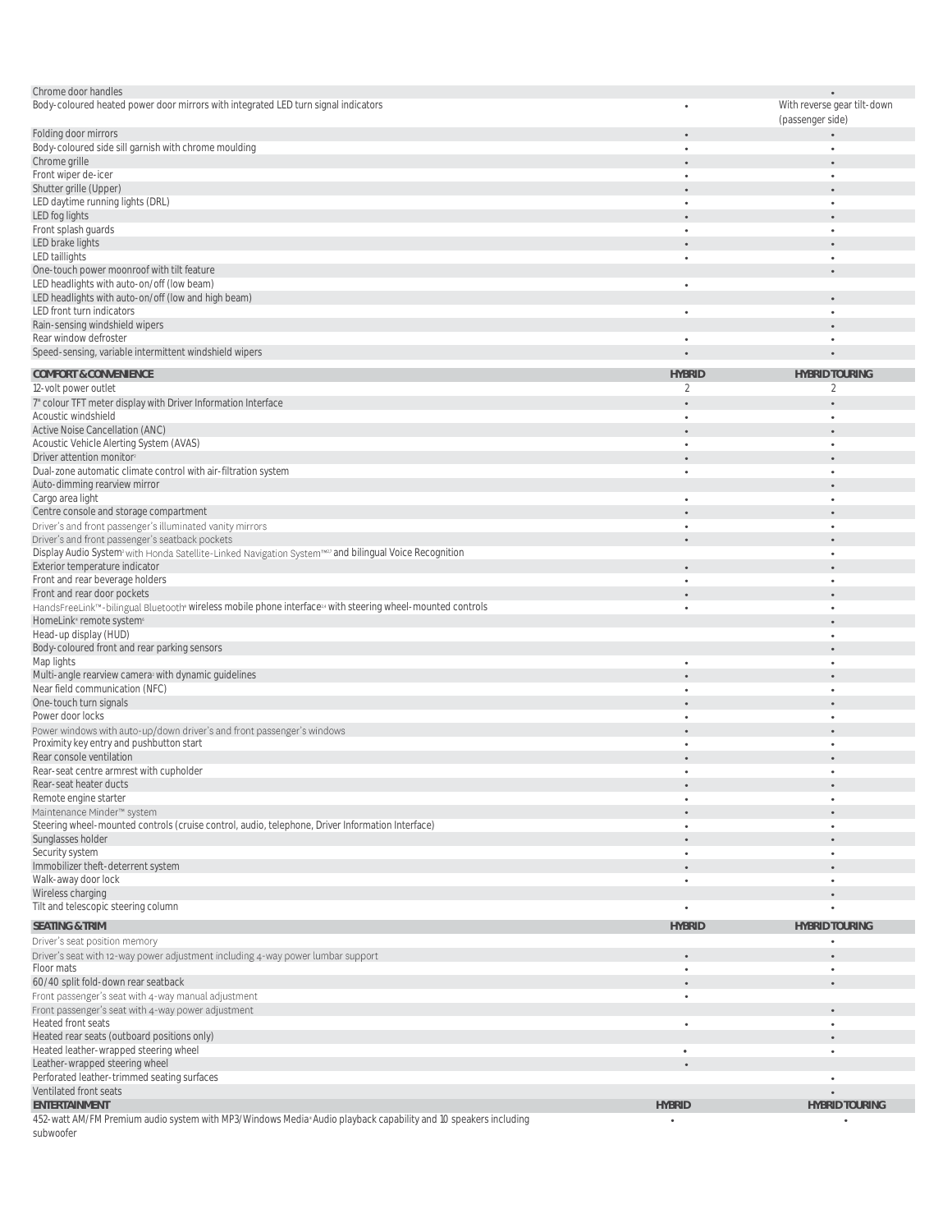| Chrome door handles                                                                                                           |               |                             |
|-------------------------------------------------------------------------------------------------------------------------------|---------------|-----------------------------|
| Body-coloured heated power door mirrors with integrated LED turn signal indicators                                            |               | With reverse gear tilt-down |
|                                                                                                                               |               |                             |
|                                                                                                                               |               | (passenger side)            |
| Folding door mirrors                                                                                                          |               |                             |
| Body-coloured side sill garnish with chrome moulding                                                                          | ٠             |                             |
| Chrome grille                                                                                                                 | ٠             |                             |
| Front wiper de-icer                                                                                                           | ٠             |                             |
| Shutter grille (Upper)                                                                                                        |               |                             |
| LED daytime running lights (DRL)                                                                                              |               |                             |
| LED fog lights                                                                                                                |               |                             |
| Front splash guards                                                                                                           |               |                             |
| LED brake lights                                                                                                              |               |                             |
|                                                                                                                               |               |                             |
| LED taillights                                                                                                                | $\bullet$     |                             |
| One-touch power moonroof with tilt feature                                                                                    |               |                             |
| LED headlights with auto-on/off (low beam)                                                                                    | ٠             |                             |
| LED headlights with auto-on/off (low and high beam)                                                                           |               |                             |
| LED front turn indicators                                                                                                     | ٠             |                             |
| Rain-sensing windshield wipers                                                                                                |               |                             |
| Rear window defroster                                                                                                         | $\bullet$     |                             |
| Speed-sensing, variable intermittent windshield wipers                                                                        |               |                             |
|                                                                                                                               |               |                             |
| COMFORT & CONVENIENCE                                                                                                         | <b>HYBRID</b> | <b>HYBRID TOURING</b>       |
| 12-volt power outlet                                                                                                          | 2             | 2                           |
|                                                                                                                               |               |                             |
| 7" colour TFT meter display with Driver Information Interface                                                                 |               |                             |
| Acoustic windshield                                                                                                           | ٠             |                             |
| Active Noise Cancellation (ANC)                                                                                               |               |                             |
| Acoustic Vehicle Alerting System (AVAS)                                                                                       | ٠             |                             |
| Driver attention monitor <sup>2</sup>                                                                                         |               |                             |
| Dual-zone automatic climate control with air-filtration system                                                                | $\bullet$     |                             |
| Auto-dimming rearview mirror                                                                                                  |               |                             |
| Cargo area light                                                                                                              | ۰             |                             |
|                                                                                                                               |               |                             |
| Centre console and storage compartment                                                                                        |               |                             |
| Driver's and front passenger's illuminated vanity mirrors                                                                     | ٠             |                             |
| Driver's and front passenger's seatback pockets                                                                               |               |                             |
| Display Audio System <sup>,</sup> with Honda Satellite-Linked Navigation System™ <sup>2</sup> and bilingual Voice Recognition |               |                             |
| Exterior temperature indicator                                                                                                |               |                             |
| Front and rear beverage holders                                                                                               | ۰             |                             |
| Front and rear door pockets                                                                                                   |               |                             |
| HandsFreeLink™-bilingual Bluetooth wireless mobile phone interface <sup>34</sup> with steering wheel-mounted controls         | ٠             |                             |
| HomeLink <sup>®</sup> remote system®                                                                                          |               |                             |
|                                                                                                                               |               |                             |
| Head-up display (HUD)                                                                                                         |               |                             |
| Body-coloured front and rear parking sensors                                                                                  |               |                             |
| Map lights                                                                                                                    |               |                             |
| Multi-angle rearview camera with dynamic guidelines                                                                           |               |                             |
| Near field communication (NFC)                                                                                                | ٠             |                             |
| One-touch turn signals                                                                                                        | $\bullet$     |                             |
| Power door locks                                                                                                              | ٠             |                             |
| Power windows with auto-up/down driver's and front passenger's windows                                                        |               |                             |
| Proximity key entry and pushbutton start                                                                                      | ٠             |                             |
| Rear console ventilation                                                                                                      |               |                             |
| Rear-seat centre armrest with cupholder                                                                                       |               |                             |
|                                                                                                                               |               |                             |
| Rear-seat heater ducts                                                                                                        |               |                             |
| Remote engine starter                                                                                                         | $\bullet$     |                             |
| Maintenance Minder™ system                                                                                                    |               |                             |
| Steering wheel-mounted controls (cruise control, audio, telephone, Driver Information Interface)                              | ٠             |                             |
| Sunglasses holder                                                                                                             |               |                             |
| Security system                                                                                                               | $\bullet$     | ٠                           |
| Immobilizer theft-deterrent system                                                                                            |               |                             |
| Walk-away door lock                                                                                                           | $\bullet$     | $\bullet$                   |
| Wireless charging                                                                                                             |               |                             |
| Tilt and telescopic steering column                                                                                           | ٠             |                             |
|                                                                                                                               |               |                             |
| <b>SEATING &amp; TRIM</b>                                                                                                     | <b>HYBRID</b> | <b>HYBRID TOURING</b>       |
| Driver's seat position memory                                                                                                 |               | $\bullet$                   |
| Driver's seat with 12-way power adjustment including 4-way power lumbar support                                               | $\bullet$     |                             |
| Floor mats                                                                                                                    | ٠             | $\bullet$                   |
|                                                                                                                               |               |                             |
| 60/40 split fold-down rear seatback                                                                                           |               |                             |
| Front passenger's seat with 4-way manual adjustment                                                                           | ٠             |                             |
| Front passenger's seat with 4-way power adjustment                                                                            |               |                             |
| Heated front seats                                                                                                            | ٠             | $\bullet$                   |
| Heated rear seats (outboard positions only)                                                                                   |               |                             |
| Heated leather-wrapped steering wheel                                                                                         | ٠             | $\bullet$                   |
| Leather-wrapped steering wheel                                                                                                |               |                             |
| Perforated leather-trimmed seating surfaces                                                                                   |               |                             |
| Ventilated front seats                                                                                                        |               |                             |
|                                                                                                                               |               |                             |
| ENTERTAINMENT                                                                                                                 | <b>HYBRID</b> | <b>HYBRID TOURING</b>       |
| 452-watt AM/FM Premium audio system with MP3/Windows Media Audio playback capability and 10 speakers including                |               |                             |
| subwoofer                                                                                                                     |               |                             |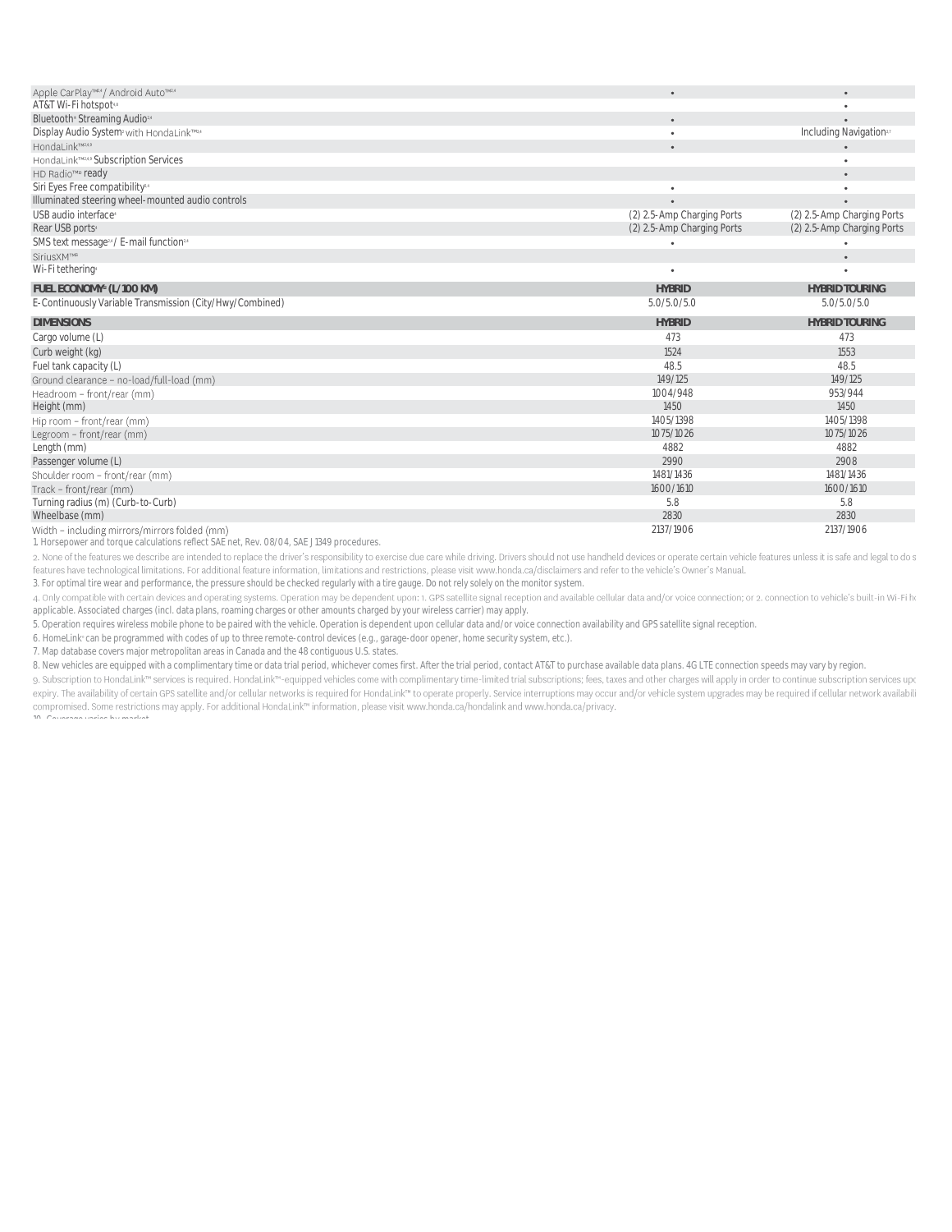| Apple CarPlay™24 / Android Auto™24                                | $\bullet$                  | $\bullet$                           |
|-------------------------------------------------------------------|----------------------------|-------------------------------------|
| AT&T Wi-Fi hotspot48                                              |                            |                                     |
| Bluetooth <sup>®</sup> Streaming Audio <sup>24</sup>              | $\bullet$                  | ٠                                   |
| Display Audio System <sup>2</sup> with HondaLink <sup>TME,6</sup> | $\bullet$                  | Including Navigation <sup>2,2</sup> |
| HondaLink™2,4,9                                                   | $\bullet$                  |                                     |
| HondaLink <sup>TMLA9</sup> Subscription Services                  |                            |                                     |
| HD Radio™ ready                                                   |                            | $\bullet$                           |
| Siri Eyes Free compatibility <sup>24</sup>                        | ٠                          |                                     |
| Illuminated steering wheel-mounted audio controls                 | $\bullet$                  | $\bullet$                           |
| USB audio interface <sup>®</sup>                                  | (2) 2.5-Amp Charging Ports | (2) 2.5-Amp Charging Ports          |
| Rear USB ports <sup>4</sup>                                       | (2) 2.5-Amp Charging Ports | (2) 2.5-Amp Charging Ports          |
| SMS text message <sup>24</sup> / E-mail function <sup>24</sup>    |                            | ٠                                   |
| SiriusXM™                                                         |                            | $\bullet$                           |
| Wi-Fi tethering                                                   |                            | ٠                                   |
| FUEL ECONOMY <sup>12</sup> (L/100 KM)                             | <b>HYBRID</b>              | <b>HYBRID TOURING</b>               |
| E-Continuously Variable Transmission (City/Hwy/Combined)          | 5.0/5.0/5.0                | 5.0/5.0/5.0                         |
| <b>DIMENSIONS</b>                                                 | <b>HYBRID</b>              | <b>HYBRID TOURING</b>               |
| Cargo volume (L)                                                  | 473                        | 473                                 |
| Curb weight (kg)                                                  | 1524                       | 1553                                |
| Fuel tank capacity (L)                                            | 48.5                       | 48.5                                |
| Ground clearance - no-load/full-load (mm)                         | 149/125                    | 149/125                             |
| Headroom - front/rear (mm)                                        | 1004/948                   | 953/944                             |
| Height (mm)                                                       | 1450                       | 1450                                |
| Hip room - front/rear (mm)                                        | 1405/1398                  | 1405/1398                           |
| Legroom - front/rear (mm)                                         | 1075/1026                  | 1075/1026                           |
| Length (mm)                                                       | 4882                       | 4882                                |
| Passenger volume (L)                                              | 2990                       | 2908                                |
| Shoulder room - front/rear (mm)                                   | 1481/1436                  | 1481/1436                           |
| Track - front/rear (mm)                                           | 1600/1610                  | 1600/1610                           |
| Turning radius (m) (Curb-to-Curb)                                 | 5.8                        | 5.8                                 |
| Wheelbase (mm)                                                    | 2830                       | 2830                                |
| Width - including mirrors/mirrors folded (mm)                     | 2137/1906                  | 2137/1906                           |

[1. Horsepower and torque calculations reflect SAE net, Rev. 08/04, SAE J1349 procedures.](http://www.honda.ca/disclaimers)<br>2. None of the features we describe are intended to replace the driver's responsibility to exercise due care while driving. Drivers s features have technological limitations. For additional feature information, limitations and restrictions, please visit www.honda.ca/disclaimers and refer to the vehicle's Owner's Manual.

[3. For optimal tire wear and performance, the pressure should be checked regularly with a tire gauge. Do not rely solely on the monit](http://www.honda.ca/disclaimers)or system.

4. Only compatible with certain devices and operating systems. Operation may be dependent upon: 1. GPS satellite signal reception and available cellular data and/or voice connection; or 2. connection to vehicle's built-in [applicable. Associated charges \(incl. data plans, roaming charges or other amounts charged by your wireless carrier\) may apply.](http://www.honda.ca/disclaimers)

[5. Operation requires wireless mobile phone to be paired with the vehicle. Operation is dependent upon cellular data and/or voice c](http://www.honda.ca/disclaimers)onnection availability and GPS satellite signal reception.

[6. HomeLink](http://www.honda.ca/disclaimers)<sup>®</sup> [can be programmed with codes of up to three remote-control devices \(e.g., garage-door opener, home security system](http://www.honda.ca/disclaimers), etc.).

[7. Map database covers major metropolitan areas in Canada and the 48 contiguous U.S. states.](http://www.honda.ca/disclaimers)

[10. Coverage varies by market.](http://www.honda.ca/disclaimers)

[8. New vehicles are equipped with a complimentary time or data trial period, whichever comes first. After the trial period, contact AT](http://www.honda.ca/disclaimers)&T to purchase available data plans. 4G LTE connection speeds may vary by region.

9. Subscription to HondaLink™ services is required. HondaLink™-equipped vehicles come with complimentary time-limited trial subscriptions; fees, taxes and other charges will apply in order to continue subscription service expiry. The availability of certain GPS satellite and/or cellular networks is required for HondaLink™ to operate properly. Service interruptions may occur and/or vehicle system upgrades may be required if cellular network compromised. Some restrictions may apply. For additional HondaLink<sup>m</sup> information, please visit www.honda.ca/hondalink and www.honda.ca/privacy.